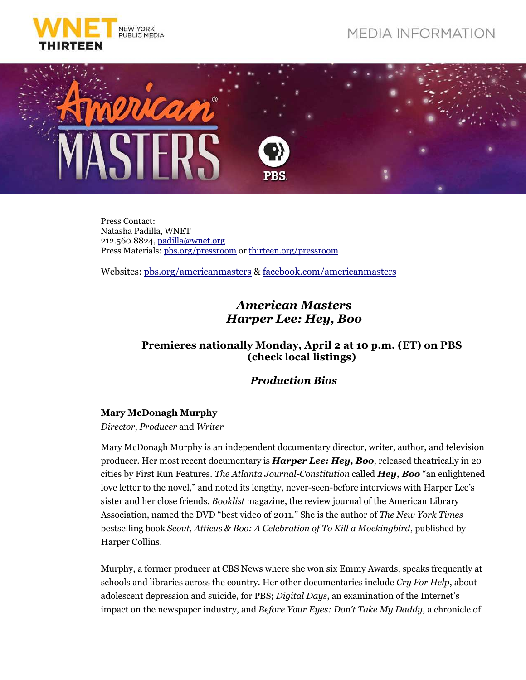

# **MEDIA INFORMATION**



Press Contact: Natasha Padilla, WNET 212.560.8824, padilla@wnet.org Press Materials: pbs.org/pressroom or thirteen.org/pressroom

Websites: pbs.org/americanmasters & facebook.com/americanmasters

# *American Masters Harper Lee: Hey, Boo*

# **Premieres nationally Monday, April 2 at 10 p.m. (ET) on PBS (check local listings)**

## *Production Bios*

### **Mary McDonagh Murphy**

*Director*, *Producer* and *Writer*

Mary McDonagh Murphy is an independent documentary director, writer, author, and television producer. Her most recent documentary is *Harper Lee: Hey, Boo*, released theatrically in 20 cities by First Run Features. *The Atlanta Journal-Constitution* called *Hey, Boo* "an enlightened love letter to the novel," and noted its lengthy, never-seen-before interviews with Harper Lee's sister and her close friends. *Booklist* magazine, the review journal of the American Library Association, named the DVD "best video of 2011." She is the author of *The New York Times* bestselling book *Scout, Atticus & Boo: A Celebration of To Kill a Mockingbird*, published by Harper Collins.

Murphy, a former producer at CBS News where she won six Emmy Awards, speaks frequently at schools and libraries across the country. Her other documentaries include *Cry For Help*, about adolescent depression and suicide, for PBS; *Digital Days*, an examination of the Internet's impact on the newspaper industry, and *Before Your Eyes: Don't Take My Daddy*, a chronicle of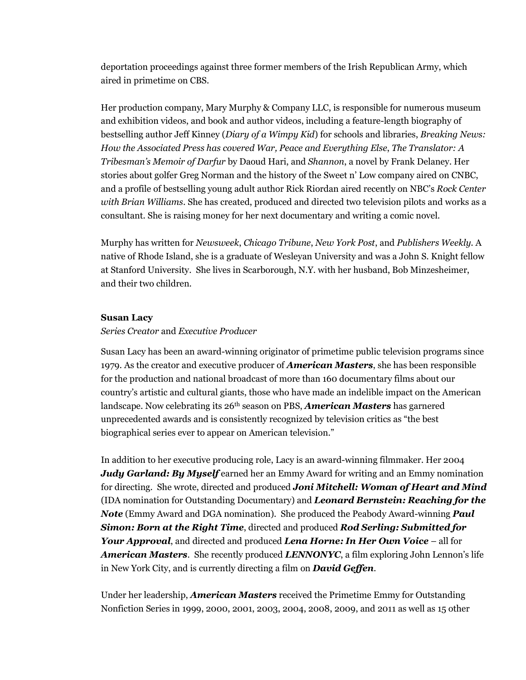deportation proceedings against three former members of the Irish Republican Army, which aired in primetime on CBS.

Her production company, Mary Murphy & Company LLC, is responsible for numerous museum and exhibition videos, and book and author videos, including a feature-length biography of bestselling author Jeff Kinney (*Diary of a Wimpy Kid*) for schools and libraries, *Breaking News: How the Associated Press has covered War, Peace and Everything Else*, *The Translator: A Tribesman's Memoir of Darfur* by Daoud Hari, and *Shannon*, a novel by Frank Delaney. Her stories about golfer Greg Norman and the history of the Sweet n' Low company aired on CNBC, and a profile of bestselling young adult author Rick Riordan aired recently on NBC's *Rock Center with Brian Williams*. She has created, produced and directed two television pilots and works as a consultant. She is raising money for her next documentary and writing a comic novel.

Murphy has written for *Newsweek*, *Chicago Tribune*, *New York Post*, and *Publishers Weekly*. A native of Rhode Island, she is a graduate of Wesleyan University and was a John S. Knight fellow at Stanford University. She lives in Scarborough, N.Y. with her husband, Bob Minzesheimer, and their two children.

#### **Susan Lacy**

#### *Series Creator* and *Executive Producer*

Susan Lacy has been an award-winning originator of primetime public television programs since 1979. As the creator and executive producer of *American Masters*, she has been responsible for the production and national broadcast of more than 160 documentary films about our country's artistic and cultural giants, those who have made an indelible impact on the American landscape. Now celebrating its 26th season on PBS, *American Masters* has garnered unprecedented awards and is consistently recognized by television critics as "the best biographical series ever to appear on American television."

In addition to her executive producing role, Lacy is an award-winning filmmaker. Her 2004 *Judy Garland: By Myself* earned her an Emmy Award for writing and an Emmy nomination for directing. She wrote, directed and produced *Joni Mitchell: Woman of Heart and Mind* (IDA nomination for Outstanding Documentary) and *Leonard Bernstein: Reaching for the Note* (Emmy Award and DGA nomination). She produced the Peabody Award-winning *Paul Simon: Born at the Right Time*, directed and produced *Rod Serling: Submitted for Your Approval*, and directed and produced *Lena Horne: In Her Own Voice* – all for *American Masters*. She recently produced *LENNONYC*, a film exploring John Lennon's life in New York City, and is currently directing a film on *David Geffen*.

Under her leadership, *American Masters* received the Primetime Emmy for Outstanding Nonfiction Series in 1999, 2000, 2001, 2003, 2004, 2008, 2009, and 2011 as well as 15 other